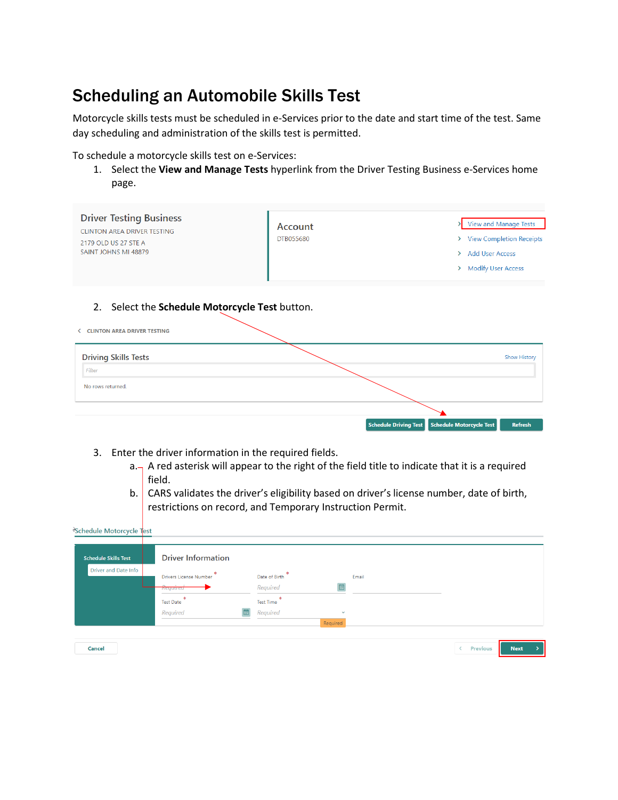## Scheduling an Automobile Skills Test

Motorcycle skills tests must be scheduled in e-Services prior to the date and start time of the test. Same day scheduling and administration of the skills test is permitted.

To schedule a motorcycle skills test on e-Services:

1. Select the **View and Manage Tests** hyperlink from the Driver Testing Business e-Services home page.

| <b>Driver Testing Business</b><br><b>CLINTON AREA DRIVER TESTING</b><br>2179 OLD US 27 STE A<br>SAINT JOHNS MI 48879 | Account<br><b>DTB055680</b> | View and Manage Tests<br>> View Completion Receipts<br>> Add User Access<br>> Modify User Access |
|----------------------------------------------------------------------------------------------------------------------|-----------------------------|--------------------------------------------------------------------------------------------------|
| 2. Select the Schedule Motorcycle Test button.<br><b>CLINTON AREA DRIVER TESTING</b>                                 |                             |                                                                                                  |
| <b>Driving Skills Tests</b><br>Filter<br>No rows returned.                                                           |                             | <b>Show History</b>                                                                              |
|                                                                                                                      |                             | <b>Schedule Driving Test</b><br>Schedule Motorcycle Test<br><b>Refresh</b>                       |

- 3. Enter the driver information in the required fields.
	- $a_{\square}$  A red asterisk will appear to the right of the field title to indicate that it is a required field.
	- b. CARS validates the driver's eligibility based on driver's license number, date of birth, restrictions on record, and Temporary Instruction Permit.

| <b>Schedule Skills Test</b> | <b>Driver Information</b>     |                              |              |       |  |  |
|-----------------------------|-------------------------------|------------------------------|--------------|-------|--|--|
| Driver and Date Info        | <b>Drivers License Number</b> | Date of Birth                |              | Email |  |  |
|                             | Required                      | Required                     | 圃            |       |  |  |
|                             | <b>Test Date</b>              | <b>A</b><br><b>Test Time</b> |              |       |  |  |
|                             | Required                      | Required                     | $\checkmark$ |       |  |  |
|                             |                               |                              | Required     |       |  |  |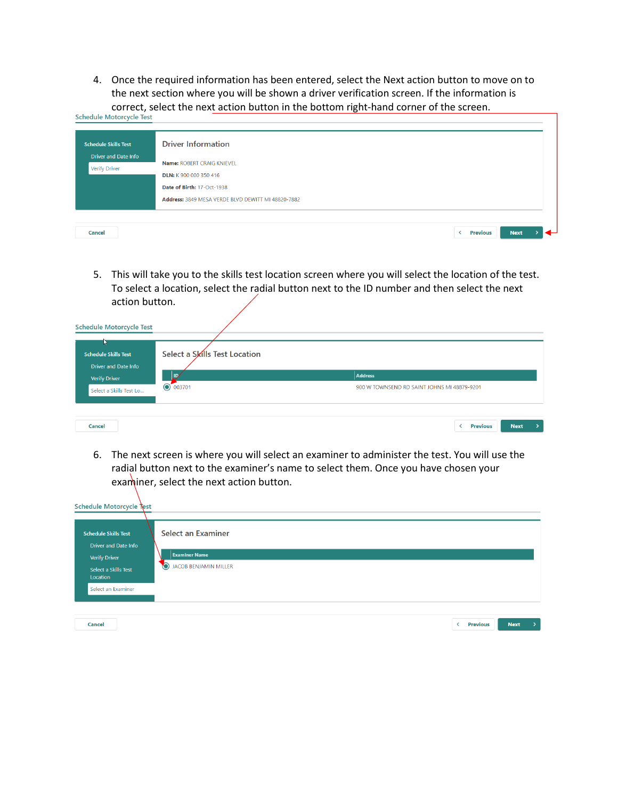4. Once the required information has been entered, select the Next action button to move on to the next section where you will be shown a driver verification screen. If the information is correct, select the next action button in the bottom right-hand corner of the screen.<br>Schedule Motorcycle Test

٦

| <b>Schedule Skills Test</b>                  | <b>Driver Information</b>                                                                 |
|----------------------------------------------|-------------------------------------------------------------------------------------------|
| Driver and Date Info<br><b>Verify Driver</b> | Name: ROBERT CRAIG KNIEVEL<br>DLN: K 900 000 350 416<br>Date of Birth: 17-Oct-1938        |
| Cancel                                       | Address: 3849 MESA VERDE BLVD DEWITT MI 48820-7882<br><b>Previous</b><br><b>Next</b><br>K |

5. This will take you to the skills test location screen where you will select the location of the test. To select a location, select the radial button next to the ID number and then select the next action button.

| <b>Schedule Motorcycle Test</b>                     |                               |                                             |
|-----------------------------------------------------|-------------------------------|---------------------------------------------|
| м<br><b>Schedule Skills Test</b>                    | Select a Skills Test Location |                                             |
| <b>Driver and Date Info</b><br><b>Verify Driver</b> | ID,                           | Address                                     |
| Select a Skills Test Lo                             | ◯ 003701                      | 900 W TOWNSEND RD SAINT JOHNS MI 48879-9201 |
|                                                     |                               |                                             |
| Cancel                                              |                               | <b>Next</b><br><b>Previous</b>              |

6. The next screen is where you will select an examiner to administer the test. You will use the radial button next to the examiner's name to select them. Once you have chosen your examiner, select the next action button.

| Schedule Motorcycle Test                                                                                               |                                                                                         |  |
|------------------------------------------------------------------------------------------------------------------------|-----------------------------------------------------------------------------------------|--|
| <b>Schedule Skills Test</b><br><b>Driver and Date Info</b><br><b>Verify Driver</b><br>Select a Skills Test<br>Location | <b>Select an Examiner</b><br><b>Examiner Name</b><br>$\bullet$<br>JACOB BENJAMIN MILLER |  |
| Select an Examiner<br>Cancel                                                                                           | Previous<br><b>Next</b><br>≺                                                            |  |